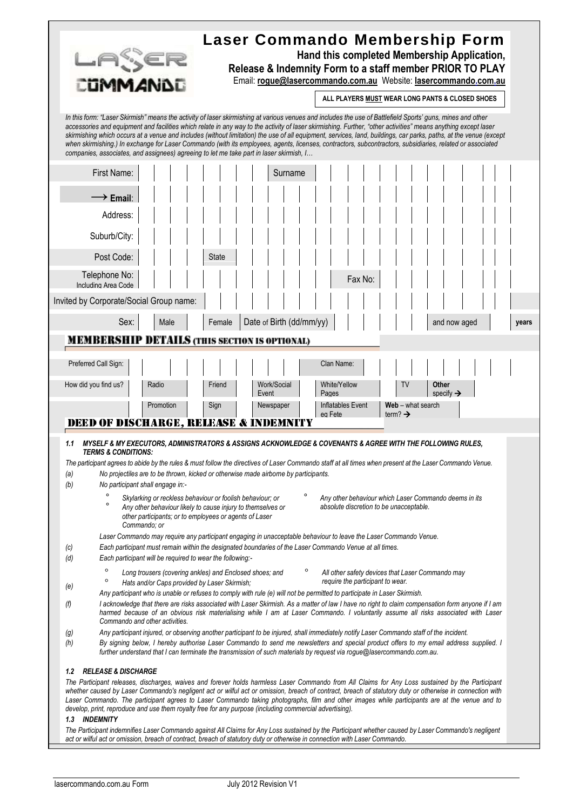| `ijmm⊿ni<br>companies, associates, and assignees) agreeing to let me take part in laser skirmish, I                                                                                                                                                                                                                                                                                                                                                                                                                                                                                                                                                                                                                                                                                                                                                                                                                                                                                                                                                                                                                                                                                                                                                                                                                                                                                                                                                                                                                                                                                                                                                                                                                                                                                                                                                                                                                                                                                                                                                                                                                                                                                                             | In this form: "Laser Skirmish" means the activity of laser skirmishing at various venues and includes the use of Battlefield Sports' guns, mines and other | Laser Commando Membership Form<br>Hand this completed Membership Application,<br>Release & Indemnity Form to a staff member PRIOR TO PLAY<br>Email: rogue@lasercommando.com.au Website: lasercommando.com.au<br>ALL PLAYERS MUST WEAR LONG PANTS & CLOSED SHOES<br>accessories and equipment and facilities which relate in any way to the activity of laser skirmishing. Further, "other activities" means anything except laser<br>skirmishing which occurs at a venue and includes (without limitation) the use of all equipment, services, land, buildings, car parks, paths, at the venue (except<br>when skirmishing.) In exchange for Laser Commando (with its employees, agents, licenses, contractors, subcontractors, subsidiaries, related or associated |  |  |
|-----------------------------------------------------------------------------------------------------------------------------------------------------------------------------------------------------------------------------------------------------------------------------------------------------------------------------------------------------------------------------------------------------------------------------------------------------------------------------------------------------------------------------------------------------------------------------------------------------------------------------------------------------------------------------------------------------------------------------------------------------------------------------------------------------------------------------------------------------------------------------------------------------------------------------------------------------------------------------------------------------------------------------------------------------------------------------------------------------------------------------------------------------------------------------------------------------------------------------------------------------------------------------------------------------------------------------------------------------------------------------------------------------------------------------------------------------------------------------------------------------------------------------------------------------------------------------------------------------------------------------------------------------------------------------------------------------------------------------------------------------------------------------------------------------------------------------------------------------------------------------------------------------------------------------------------------------------------------------------------------------------------------------------------------------------------------------------------------------------------------------------------------------------------------------------------------------------------|------------------------------------------------------------------------------------------------------------------------------------------------------------|---------------------------------------------------------------------------------------------------------------------------------------------------------------------------------------------------------------------------------------------------------------------------------------------------------------------------------------------------------------------------------------------------------------------------------------------------------------------------------------------------------------------------------------------------------------------------------------------------------------------------------------------------------------------------------------------------------------------------------------------------------------------|--|--|
| First Name:<br>$\longrightarrow$ Email:<br>Address:<br>Suburb/City:<br>Post Code:<br>Telephone No:<br>Including Area Code                                                                                                                                                                                                                                                                                                                                                                                                                                                                                                                                                                                                                                                                                                                                                                                                                                                                                                                                                                                                                                                                                                                                                                                                                                                                                                                                                                                                                                                                                                                                                                                                                                                                                                                                                                                                                                                                                                                                                                                                                                                                                       | Surname<br><b>State</b>                                                                                                                                    | Fax No:                                                                                                                                                                                                                                                                                                                                                                                                                                                                                                                                                                                                                                                                                                                                                             |  |  |
| Invited by Corporate/Social Group name:                                                                                                                                                                                                                                                                                                                                                                                                                                                                                                                                                                                                                                                                                                                                                                                                                                                                                                                                                                                                                                                                                                                                                                                                                                                                                                                                                                                                                                                                                                                                                                                                                                                                                                                                                                                                                                                                                                                                                                                                                                                                                                                                                                         |                                                                                                                                                            |                                                                                                                                                                                                                                                                                                                                                                                                                                                                                                                                                                                                                                                                                                                                                                     |  |  |
| Sex:<br>Male<br><b>MEMBERSHIP DETAILS (THIS SECTION IS OPTIONAL)</b>                                                                                                                                                                                                                                                                                                                                                                                                                                                                                                                                                                                                                                                                                                                                                                                                                                                                                                                                                                                                                                                                                                                                                                                                                                                                                                                                                                                                                                                                                                                                                                                                                                                                                                                                                                                                                                                                                                                                                                                                                                                                                                                                            | Date of Birth (dd/mm/yy)<br>Female                                                                                                                         | and now aged<br>years                                                                                                                                                                                                                                                                                                                                                                                                                                                                                                                                                                                                                                                                                                                                               |  |  |
| Preferred Call Sign:<br>How did you find us?<br>Radio<br>Promotion                                                                                                                                                                                                                                                                                                                                                                                                                                                                                                                                                                                                                                                                                                                                                                                                                                                                                                                                                                                                                                                                                                                                                                                                                                                                                                                                                                                                                                                                                                                                                                                                                                                                                                                                                                                                                                                                                                                                                                                                                                                                                                                                              | Clan Name:<br>White/Yellow<br>Friend<br>Work/Social<br>Event<br>Pages<br>Inflatables Event<br>Sign<br>Newspaper<br>eg Fete                                 | <b>Other</b><br>TV<br>specify $\rightarrow$<br>Web - what search<br>term? $\rightarrow$                                                                                                                                                                                                                                                                                                                                                                                                                                                                                                                                                                                                                                                                             |  |  |
| <b>DEED OF DISCHARGE, RELEASE &amp; INDEMNITY</b>                                                                                                                                                                                                                                                                                                                                                                                                                                                                                                                                                                                                                                                                                                                                                                                                                                                                                                                                                                                                                                                                                                                                                                                                                                                                                                                                                                                                                                                                                                                                                                                                                                                                                                                                                                                                                                                                                                                                                                                                                                                                                                                                                               |                                                                                                                                                            |                                                                                                                                                                                                                                                                                                                                                                                                                                                                                                                                                                                                                                                                                                                                                                     |  |  |
| MYSELF & MY EXECUTORS, ADMINISTRATORS & ASSIGNS ACKNOWLEDGE & COVENANTS & AGREE WITH THE FOLLOWING RULES,<br>1.1<br><b>TERMS &amp; CONDITIONS:</b><br>The participant agrees to abide by the rules & must follow the directives of Laser Commando staff at all times when present at the Laser Commando Venue.<br>No projectiles are to be thrown, kicked or otherwise made airborne by participants.<br>(a)<br>No participant shall engage in:-<br>(b)<br>Skylarking or reckless behaviour or foolish behaviour; or<br>Any other behaviour which Laser Commando deems in its<br>$\circ$<br>absolute discretion to be unacceptable.<br>Any other behaviour likely to cause injury to themselves or<br>other participants; or to employees or agents of Laser<br>Commando; or<br>Laser Commando may require any participant engaging in unacceptable behaviour to leave the Laser Commando Venue.<br>Each participant must remain within the designated boundaries of the Laser Commando Venue at all times.<br>(c)<br>Each participant will be required to wear the following:-<br>(d)<br>$\circ$<br>Long trousers (covering ankles) and Enclosed shoes; and<br>All other safety devices that Laser Commando may<br>$\circ$<br>require the participant to wear.<br>Hats and/or Caps provided by Laser Skirmish;<br>(e)<br>Any participant who is unable or refuses to comply with rule (e) will not be permitted to participate in Laser Skirmish.<br>I acknowledge that there are risks associated with Laser Skirmish. As a matter of law I have no right to claim compensation form anyone if I am<br>(f)<br>harmed because of an obvious risk materialising while I am at Laser Commando. I voluntarily assume all risks associated with Laser<br>Commando and other activities.<br>Any participant injured, or observing another participant to be injured, shall immediately notify Laser Commando staff of the incident.<br>(g)<br>By signing below, I hereby authorise Laser Commando to send me newsletters and special product offers to my email address supplied. I<br>(h)<br>further understand that I can terminate the transmission of such materials by request via rogue@lasercommando.com.au. |                                                                                                                                                            |                                                                                                                                                                                                                                                                                                                                                                                                                                                                                                                                                                                                                                                                                                                                                                     |  |  |
| <b>RELEASE &amp; DISCHARGE</b><br>1.2<br>1.3 INDEMNITY                                                                                                                                                                                                                                                                                                                                                                                                                                                                                                                                                                                                                                                                                                                                                                                                                                                                                                                                                                                                                                                                                                                                                                                                                                                                                                                                                                                                                                                                                                                                                                                                                                                                                                                                                                                                                                                                                                                                                                                                                                                                                                                                                          | develop, print, reproduce and use them royalty free for any purpose (including commercial advertising).                                                    | The Participant releases, discharges, waives and forever holds harmless Laser Commando from All Claims for Any Loss sustained by the Participant<br>whether caused by Laser Commando's negligent act or wilful act or omission, breach of contract, breach of statutory duty or otherwise in connection with<br>Laser Commando. The participant agrees to Laser Commando taking photographs, film and other images while participants are at the venue and to<br>The Participant indemnifies Laser Commando against All Claims for Any Loss sustained by the Participant whether caused by Laser Commando's negligent                                                                                                                                               |  |  |

r

*act or wilful act or omission, breach of contract, breach of statutory duty or otherwise in connection with Laser Commando.*